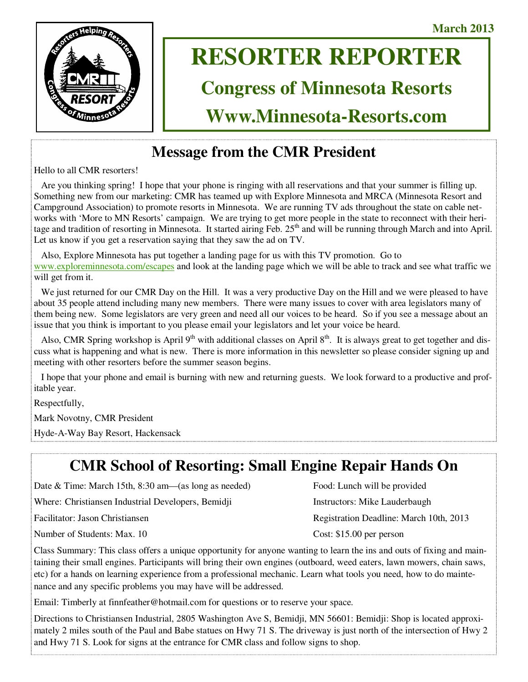**March 2013** 



# **RESORTER REPORTER**

# **Congress of Minnesota Resorts**

**Www.Minnesota-Resorts.com** 

# **Message from the CMR President**

Hello to all CMR resorters!

 Are you thinking spring! I hope that your phone is ringing with all reservations and that your summer is filling up. Something new from our marketing: CMR has teamed up with Explore Minnesota and MRCA (Minnesota Resort and Campground Association) to promote resorts in Minnesota. We are running TV ads throughout the state on cable networks with 'More to MN Resorts' campaign. We are trying to get more people in the state to reconnect with their heritage and tradition of resorting in Minnesota. It started airing Feb. 25<sup>th</sup> and will be running through March and into April. Let us know if you get a reservation saying that they saw the ad on TV.

 Also, Explore Minnesota has put together a landing page for us with this TV promotion. Go to www.exploreminnesota.com/escapes and look at the landing page which we will be able to track and see what traffic we will get from it.

We just returned for our CMR Day on the Hill. It was a very productive Day on the Hill and we were pleased to have about 35 people attend including many new members. There were many issues to cover with area legislators many of them being new. Some legislators are very green and need all our voices to be heard. So if you see a message about an issue that you think is important to you please email your legislators and let your voice be heard.

Also, CMR Spring workshop is April  $9<sup>th</sup>$  with additional classes on April  $8<sup>th</sup>$ . It is always great to get together and discuss what is happening and what is new. There is more information in this newsletter so please consider signing up and meeting with other resorters before the summer season begins.

 I hope that your phone and email is burning with new and returning guests. We look forward to a productive and profitable year.

Respectfully,

Mark Novotny, CMR President

Hyde-A-Way Bay Resort, Hackensack

# **CMR School of Resorting: Small Engine Repair Hands On**

| Date & Time: March 15th, $8:30$ am—(as long as needed) | Food: Lunch will be provided            |
|--------------------------------------------------------|-----------------------------------------|
| Where: Christiansen Industrial Developers, Bemidji     | Instructors: Mike Lauderbaugh           |
| Facilitator: Jason Christiansen                        | Registration Deadline: March 10th, 2013 |
| Number of Students: Max. 10                            | Cost: $$15.00$ per person               |

Class Summary: This class offers a unique opportunity for anyone wanting to learn the ins and outs of fixing and maintaining their small engines. Participants will bring their own engines (outboard, weed eaters, lawn mowers, chain saws, etc) for a hands on learning experience from a professional mechanic. Learn what tools you need, how to do maintenance and any specific problems you may have will be addressed.

Email: Timberly at finnfeather@hotmail.com for questions or to reserve your space.

Directions to Christiansen Industrial, 2805 Washington Ave S, Bemidji, MN 56601: Bemidji: Shop is located approximately 2 miles south of the Paul and Babe statues on Hwy 71 S. The driveway is just north of the intersection of Hwy 2 and Hwy 71 S. Look for signs at the entrance for CMR class and follow signs to shop.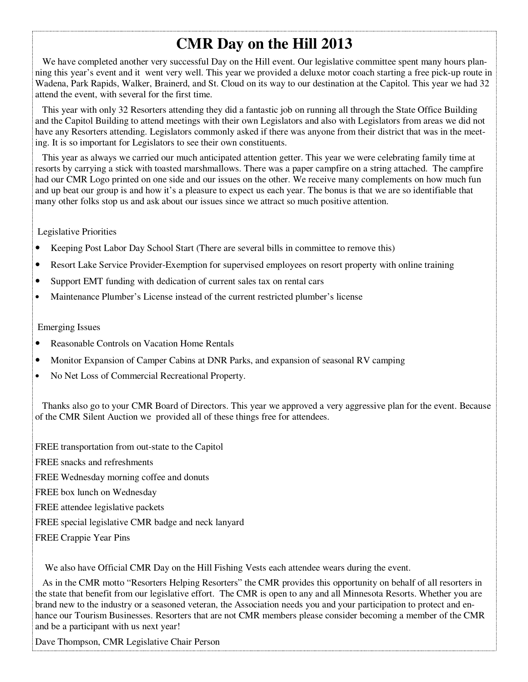# **CMR Day on the Hill 2013**

We have completed another very successful Day on the Hill event. Our legislative committee spent many hours planning this year's event and it went very well. This year we provided a deluxe motor coach starting a free pick-up route in Wadena, Park Rapids, Walker, Brainerd, and St. Cloud on its way to our destination at the Capitol. This year we had 32 attend the event, with several for the first time.

 This year with only 32 Resorters attending they did a fantastic job on running all through the State Office Building and the Capitol Building to attend meetings with their own Legislators and also with Legislators from areas we did not have any Resorters attending. Legislators commonly asked if there was anyone from their district that was in the meeting. It is so important for Legislators to see their own constituents.

 This year as always we carried our much anticipated attention getter. This year we were celebrating family time at resorts by carrying a stick with toasted marshmallows. There was a paper campfire on a string attached. The campfire had our CMR Logo printed on one side and our issues on the other. We receive many complements on how much fun and up beat our group is and how it's a pleasure to expect us each year. The bonus is that we are so identifiable that many other folks stop us and ask about our issues since we attract so much positive attention.

### Legislative Priorities

- Keeping Post Labor Day School Start (There are several bills in committee to remove this)
- Resort Lake Service Provider-Exemption for supervised employees on resort property with online training
- Support EMT funding with dedication of current sales tax on rental cars
- Maintenance Plumber's License instead of the current restricted plumber's license

### Emerging Issues

- Reasonable Controls on Vacation Home Rentals
- Monitor Expansion of Camper Cabins at DNR Parks, and expansion of seasonal RV camping
- No Net Loss of Commercial Recreational Property.

 Thanks also go to your CMR Board of Directors. This year we approved a very aggressive plan for the event. Because of the CMR Silent Auction we provided all of these things free for attendees.

FREE transportation from out-state to the Capitol FREE snacks and refreshments FREE Wednesday morning coffee and donuts FREE box lunch on Wednesday FREE attendee legislative packets FREE special legislative CMR badge and neck lanyard FREE Crappie Year Pins

We also have Official CMR Day on the Hill Fishing Vests each attendee wears during the event.

 As in the CMR motto "Resorters Helping Resorters" the CMR provides this opportunity on behalf of all resorters in the state that benefit from our legislative effort. The CMR is open to any and all Minnesota Resorts. Whether you are brand new to the industry or a seasoned veteran, the Association needs you and your participation to protect and enhance our Tourism Businesses. Resorters that are not CMR members please consider becoming a member of the CMR and be a participant with us next year!

Dave Thompson, CMR Legislative Chair Person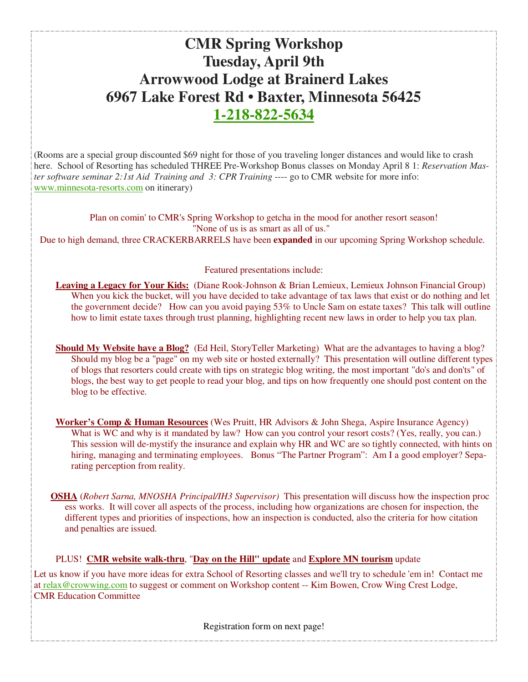# **CMR Spring Workshop Tuesday, April 9th Arrowwood Lodge at Brainerd Lakes 6967 Lake Forest Rd • Baxter, Minnesota 56425 1-218-822-5634**

(Rooms are a special group discounted \$69 night for those of you traveling longer distances and would like to crash here. School of Resorting has scheduled THREE Pre-Workshop Bonus classes on Monday April 8 1: *Reservation Master software seminar 2:1st Aid Training and 3: CPR Training* ---- go to CMR website for more info: www.minnesota-resorts.com on itinerary)

Plan on comin' to CMR's Spring Workshop to getcha in the mood for another resort season! "None of us is as smart as all of us."

Due to high demand, three CRACKERBARRELS have been **expanded** in our upcoming Spring Workshop schedule.

### Featured presentations include:

**Leaving a Legacy for Your Kids:** (Diane Rook-Johnson & Brian Lemieux, Lemieux Johnson Financial Group) When you kick the bucket, will you have decided to take advantage of tax laws that exist or do nothing and let the government decide? How can you avoid paying 53% to Uncle Sam on estate taxes? This talk will outline how to limit estate taxes through trust planning, highlighting recent new laws in order to help you tax plan.

**Should My Website have a Blog?** (Ed Heil, StoryTeller Marketing) What are the advantages to having a blog? Should my blog be a "page" on my web site or hosted externally? This presentation will outline different types of blogs that resorters could create with tips on strategic blog writing, the most important "do's and don'ts" of blogs, the best way to get people to read your blog, and tips on how frequently one should post content on the blog to be effective.

**Worker's Comp & Human Resources** (Wes Pruitt, HR Advisors & John Shega, Aspire Insurance Agency) What is WC and why is it mandated by law? How can you control your resort costs? (Yes, really, you can.) This session will de-mystify the insurance and explain why HR and WC are so tightly connected, with hints on hiring, managing and terminating employees. Bonus "The Partner Program": Am I a good employer? Separating perception from reality.

 **OSHA** (*Robert Sarna, MNOSHA Principal/IH3 Supervisor)* This presentation will discuss how the inspection proc ess works. It will cover all aspects of the process, including how organizations are chosen for inspection, the different types and priorities of inspections, how an inspection is conducted, also the criteria for how citation and penalties are issued.

### PLUS! **CMR website walk-thru**, "**Day on the Hill" update** and **Explore MN tourism** update

Let us know if you have more ideas for extra School of Resorting classes and we'll try to schedule 'em in! Contact me at relax@crowwing.com to suggest or comment on Workshop content -- Kim Bowen, Crow Wing Crest Lodge, CMR Education Committee

Registration form on next page!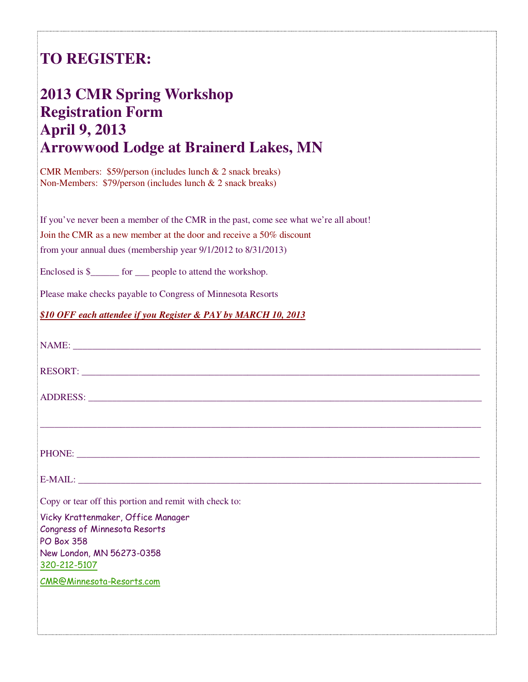# **TO REGISTER:**

# **2013 CMR Spring Workshop Registration Form April 9, 2013 Arrowwood Lodge at Brainerd Lakes, MN**

CMR Members: \$59/person (includes lunch & 2 snack breaks) Non-Members: \$79/person (includes lunch & 2 snack breaks)

If you've never been a member of the CMR in the past, come see what we're all about!

Join the CMR as a new member at the door and receive a 50% discount

from your annual dues (membership year 9/1/2012 to 8/31/2013)

Enclosed is \$\_\_\_\_\_\_\_ for \_\_\_ people to attend the workshop.

Please make checks payable to Congress of Minnesota Resorts

*\$10 OFF each attendee if you Register & PAY by MARCH 10, 2013*

| Copy or tear off this portion and remit with check to:                                   |
|------------------------------------------------------------------------------------------|
| Vicky Krattenmaker, Office Manager<br>Congress of Minnesota Resorts<br><b>PO Box 358</b> |
| New London, MN 56273-0358<br>320-212-5107                                                |
| <b>CMR@Minnesota-Resorts.com</b>                                                         |
|                                                                                          |
|                                                                                          |
|                                                                                          |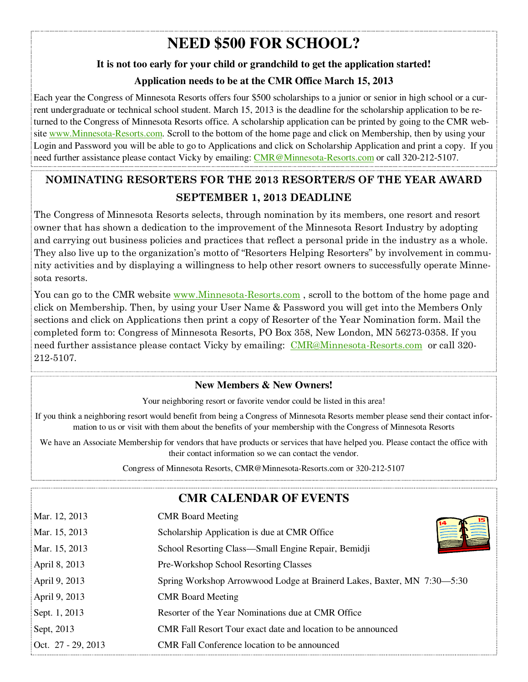# **NEED \$500 FOR SCHOOL?**

### **It is not too early for your child or grandchild to get the application started!**

### **Application needs to be at the CMR Office March 15, 2013**

Each year the Congress of Minnesota Resorts offers four \$500 scholarships to a junior or senior in high school or a current undergraduate or technical school student. March 15, 2013 is the deadline for the scholarship application to be returned to the Congress of Minnesota Resorts office. A scholarship application can be printed by going to the CMR website www.Minnesota-Resorts.com. Scroll to the bottom of the home page and click on Membership, then by using your Login and Password you will be able to go to Applications and click on Scholarship Application and print a copy. If you need further assistance please contact Vicky by emailing: CMR@Minnesota-Resorts.com or call 320-212-5107.

### **NOMINATING RESORTERS FOR THE 2013 RESORTER/S OF THE YEAR AWARD SEPTEMBER 1, 2013 DEADLINE**

The Congress of Minnesota Resorts selects, through nomination by its members, one resort and resort owner that has shown a dedication to the improvement of the Minnesota Resort Industry by adopting and carrying out business policies and practices that reflect a personal pride in the industry as a whole. They also live up to the organization's motto of "Resorters Helping Resorters" by involvement in community activities and by displaying a willingness to help other resort owners to successfully operate Minnesota resorts.

You can go to the CMR website www.Minnesota-Resorts.com, scroll to the bottom of the home page and click on Membership. Then, by using your User Name & Password you will get into the Members Only sections and click on Applications then print a copy of Resorter of the Year Nomination form. Mail the completed form to: Congress of Minnesota Resorts, PO Box 358, New London, MN 56273-0358. If you need further assistance please contact Vicky by emailing: CMR@Minnesota-Resorts.com or call 320-212-5107.

### **New Members & New Owners!**

Your neighboring resort or favorite vendor could be listed in this area!

If you think a neighboring resort would benefit from being a Congress of Minnesota Resorts member please send their contact information to us or visit with them about the benefits of your membership with the Congress of Minnesota Resorts

We have an Associate Membership for vendors that have products or services that have helped you. Please contact the office with their contact information so we can contact the vendor.

Congress of Minnesota Resorts, CMR@Minnesota-Resorts.com or 320-212-5107

### **CMR CALENDAR OF EVENTS**

| Mar. 12, 2013      | <b>CMR</b> Board Meeting                                                |
|--------------------|-------------------------------------------------------------------------|
| Mar. 15, 2013      | Scholarship Application is due at CMR Office                            |
| Mar. 15, 2013      | School Resorting Class—Small Engine Repair, Bemidji                     |
| April 8, 2013      | Pre-Workshop School Resorting Classes                                   |
| April 9, 2013      | Spring Workshop Arrowwood Lodge at Brainerd Lakes, Baxter, MN 7:30-5:30 |
| April 9, 2013      | <b>CMR</b> Board Meeting                                                |
| Sept. 1, 2013      | Resorter of the Year Nominations due at CMR Office                      |
| Sept, 2013         | CMR Fall Resort Tour exact date and location to be announced            |
| Oct. 27 - 29, 2013 | CMR Fall Conference location to be announced                            |
|                    |                                                                         |